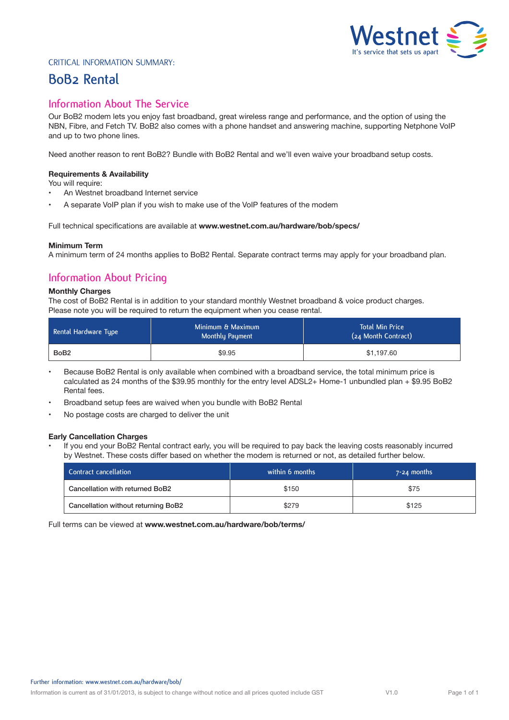# $'$ estnet  $\leq$  3 **It's service that sets us apart**

#### Critical Information Summary:

## **BoB2 Rental**

## **Information About The Service**

Our BoB2 modem lets you enjoy fast broadband, great wireless range and performance, and the option of using the NBN, Fibre, and Fetch TV. BoB2 also comes with a phone handset and answering machine, supporting Netphone VoIP and up to two phone lines.

Need another reason to rent BoB2? Bundle with BoB2 Rental and we'll even waive your broadband setup costs.

#### **Requirements & Availability**

You will require:

- An Westnet broadband Internet service
- A separate VoIP plan if you wish to make use of the VoIP features of the modem

Full technical specifications are available at **www.westnet.com.au/hardware/bob/specs/**

#### **Minimum Term**

A minimum term of 24 months applies to BoB2 Rental. Separate contract terms may apply for your broadband plan.

## **Information About Pricing**

#### **Monthly Charges**

The cost of BoB2 Rental is in addition to your standard monthly Westnet broadband & voice product charges. Please note you will be required to return the equipment when you cease rental.

| Rental Hardware Type | Minimum & Maximum<br>Monthly Payment | <b>Total Min Price</b><br>(24 Month Contract) |
|----------------------|--------------------------------------|-----------------------------------------------|
| BoB <sub>2</sub>     | \$9.95                               | \$1,197.60                                    |

- Because BoB2 Rental is only available when combined with a broadband service, the total minimum price is calculated as 24 months of the \$39.95 monthly for the entry level ADSL2+ Home-1 unbundled plan + \$9.95 BoB2 Rental fees.
- Broadband setup fees are waived when you bundle with BoB2 Rental
- No postage costs are charged to deliver the unit

#### **Early Cancellation Charges**

If you end your BoB2 Rental contract early, you will be required to pay back the leaving costs reasonably incurred by Westnet. These costs differ based on whether the modem is returned or not, as detailed further below.

| Contract cancellation               | within 6 months | $7 - 24$ months |
|-------------------------------------|-----------------|-----------------|
| Cancellation with returned BoB2     | \$150           | \$75            |
| Cancellation without returning BoB2 | \$279           | \$125           |

Full terms can be viewed at **www.westnet.com.au/hardware/bob/terms/**